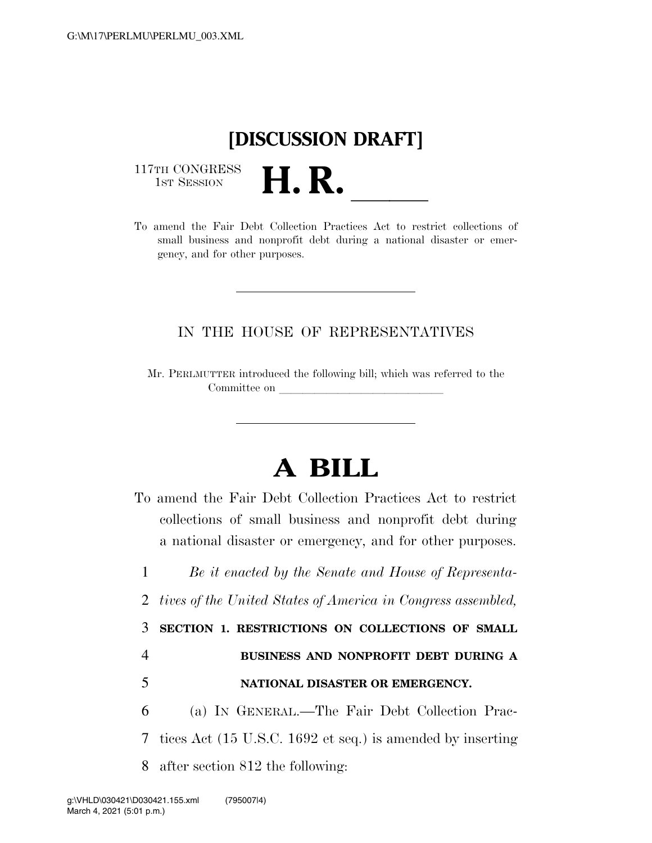## **[DISCUSSION DRAFT]**

117TH CONGRESS<br>1st Session



## IN THE HOUSE OF REPRESENTATIVES

Mr. PERLMUTTER introduced the following bill; which was referred to the Committee on

## **A BILL**

To amend the Fair Debt Collection Practices Act to restrict collections of small business and nonprofit debt during a national disaster or emergency, and for other purposes.

1 *Be it enacted by the Senate and House of Representa-*2 *tives of the United States of America in Congress assembled,* 

3 **SECTION 1. RESTRICTIONS ON COLLECTIONS OF SMALL** 

## 4 **BUSINESS AND NONPROFIT DEBT DURING A**

5 **NATIONAL DISASTER OR EMERGENCY.** 

6 (a) IN GENERAL.—The Fair Debt Collection Prac-7 tices Act (15 U.S.C. 1692 et seq.) is amended by inserting 8 after section 812 the following: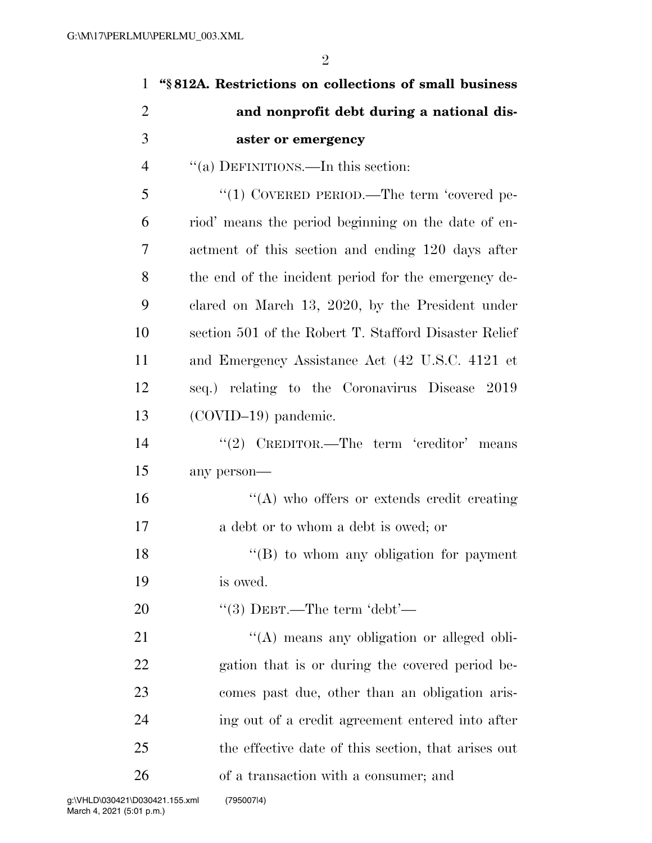| $\mathbf{1}$   | "§812A. Restrictions on collections of small business |
|----------------|-------------------------------------------------------|
| $\overline{2}$ | and nonprofit debt during a national dis-             |
| 3              | aster or emergency                                    |
| $\overline{4}$ | "(a) DEFINITIONS.—In this section:                    |
| 5              | "(1) COVERED PERIOD.—The term 'covered pe-            |
| 6              | riod' means the period beginning on the date of en-   |
| 7              | actment of this section and ending 120 days after     |
| 8              | the end of the incident period for the emergency de-  |
| 9              | clared on March 13, 2020, by the President under      |
| 10             | section 501 of the Robert T. Stafford Disaster Relief |
| 11             | and Emergency Assistance Act (42 U.S.C. 4121 et       |
| 12             | seq.) relating to the Coronavirus Disease 2019        |
| 13             | $(COVID-19)$ pandemic.                                |
| 14             | "(2) CREDITOR.—The term 'creditor' means              |
| 15             | any person-                                           |
| 16             | $\lq\lq$ who offers or extends credit creating        |
| 17             | a debt or to whom a debt is owed; or                  |
| 18             | $\lq\lq (B)$ to whom any obligation for payment       |
| 19             | is owed.                                              |
| 20             | "(3) DEBT.—The term 'debt'—                           |
| 21             | "(A) means any obligation or alleged obli-            |
| 22             | gation that is or during the covered period be-       |
| 23             | comes past due, other than an obligation aris-        |
| 24             | ing out of a credit agreement entered into after      |
| 25             | the effective date of this section, that arises out   |
| 26             | of a transaction with a consumer; and                 |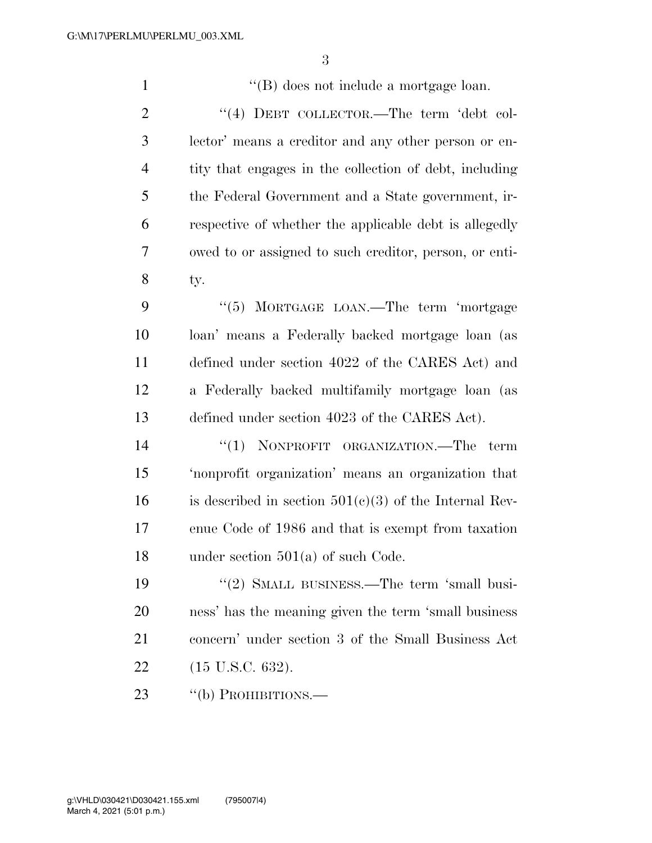1 ''(B) does not include a mortgage loan. 2 "(4) DEBT COLLECTOR.—The term 'debt col- lector' means a creditor and any other person or en- tity that engages in the collection of debt, including the Federal Government and a State government, ir- respective of whether the applicable debt is allegedly owed to or assigned to such creditor, person, or enti- ty. 9 "(5) MORTGAGE LOAN.—The term 'mortgage loan' means a Federally backed mortgage loan (as defined under section 4022 of the CARES Act) and a Federally backed multifamily mortgage loan (as defined under section 4023 of the CARES Act).  $(1)$  NONPROFIT ORGANIZATION. The term 'nonprofit organization' means an organization that 16 is described in section  $501(c)(3)$  of the Internal Rev- enue Code of 1986 and that is exempt from taxation under section 501(a) of such Code. 19 "(2) SMALL BUSINESS.—The term 'small busi- ness' has the meaning given the term 'small business concern' under section 3 of the Small Business Act (15 U.S.C. 632). 23 "(b) PROHIBITIONS.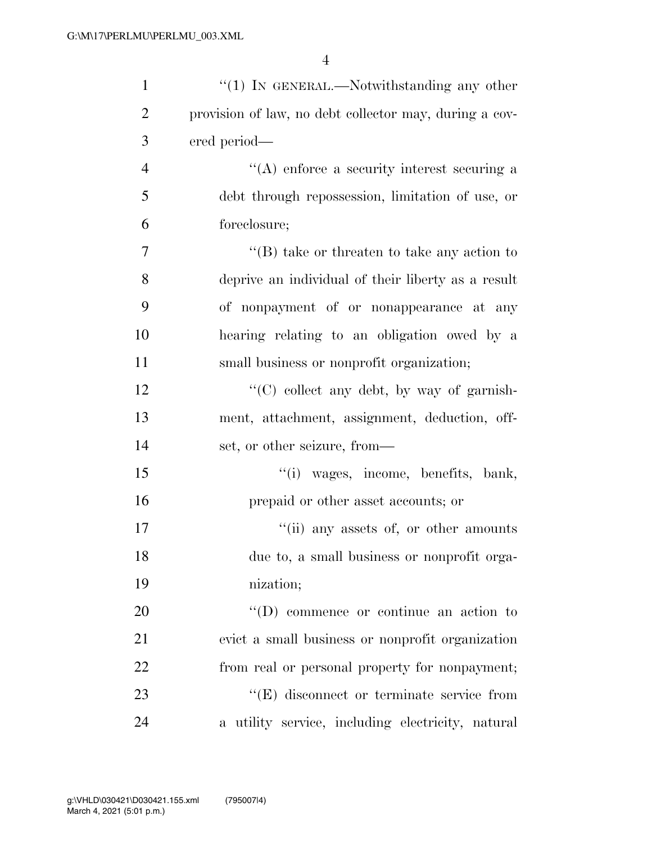| $\mathbf{1}$   | $\lq(1)$ In GENERAL.—Notwithstanding any other         |
|----------------|--------------------------------------------------------|
| $\overline{2}$ | provision of law, no debt collector may, during a cov- |
| 3              | ered period—                                           |
| $\overline{4}$ | $\lq\lq$ enforce a security interest securing a        |
| 5              | debt through repossession, limitation of use, or       |
| 6              | foreclosure;                                           |
| $\overline{7}$ | $\lq\lq (B)$ take or threaten to take any action to    |
| 8              | deprive an individual of their liberty as a result     |
| 9              | of nonpayment of or nonappearance at any               |
| 10             | hearing relating to an obligation owed by a            |
| 11             | small business or nonprofit organization;              |
| 12             | $\lq\lq$ collect any debt, by way of garnish-          |
| 13             | ment, attachment, assignment, deduction, off-          |
| 14             | set, or other seizure, from—                           |
| 15             | "(i) wages, income, benefits, bank,                    |
| 16             | prepaid or other asset accounts; or                    |
| 17             | "(ii) any assets of, or other amounts                  |
| 18             | due to, a small business or nonprofit orga-            |
| 19             | nization;                                              |
| 20             | $\lq\lq$ (D) commence or continue an action to         |
| 21             | evict a small business or nonprofit organization       |
| 22             | from real or personal property for nonpayment;         |
| 23             | $\lq\lq(E)$ disconnect or terminate service from       |
| 24             | a utility service, including electricity, natural      |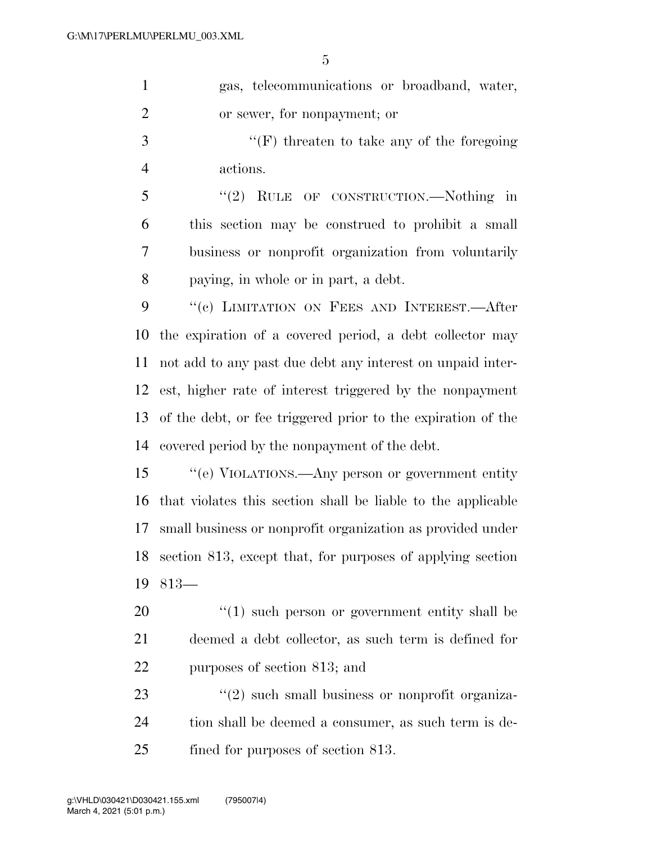| $\mathbf{1}$   | gas, telecommunications or broadband, water,                 |
|----------------|--------------------------------------------------------------|
| $\overline{2}$ | or sewer, for nonpayment; or                                 |
| 3              | "(F) threaten to take any of the foregoing                   |
| 4              | actions.                                                     |
| 5              | "(2) RULE OF CONSTRUCTION.—Nothing in                        |
| 6              | this section may be construed to prohibit a small            |
| 7              | business or nonprofit organization from voluntarily          |
| 8              | paying, in whole or in part, a debt.                         |
| 9              | "(c) LIMITATION ON FEES AND INTEREST.—After                  |
| 10             | the expiration of a covered period, a debt collector may     |
| 11             | not add to any past due debt any interest on unpaid inter-   |
| 12             | est, higher rate of interest triggered by the nonpayment     |
| 13             | of the debt, or fee triggered prior to the expiration of the |
| 14             | covered period by the nonpayment of the debt.                |
| 15             | "(e) VIOLATIONS.—Any person or government entity             |
| 16             | that violates this section shall be liable to the applicable |
| 17             | small business or nonprofit organization as provided under   |
| 18             | section 813, except that, for purposes of applying section   |
| 19             | $813-$                                                       |
| 20             | $\lq(1)$ such person or government entity shall be           |
| 21             | deemed a debt collector, as such term is defined for         |
| 22             | purposes of section 813; and                                 |
| 23             | $\lq(2)$ such small business or nonprofit organiza-          |
| 24             | tion shall be deemed a consumer, as such term is de-         |

25 fined for purposes of section 813.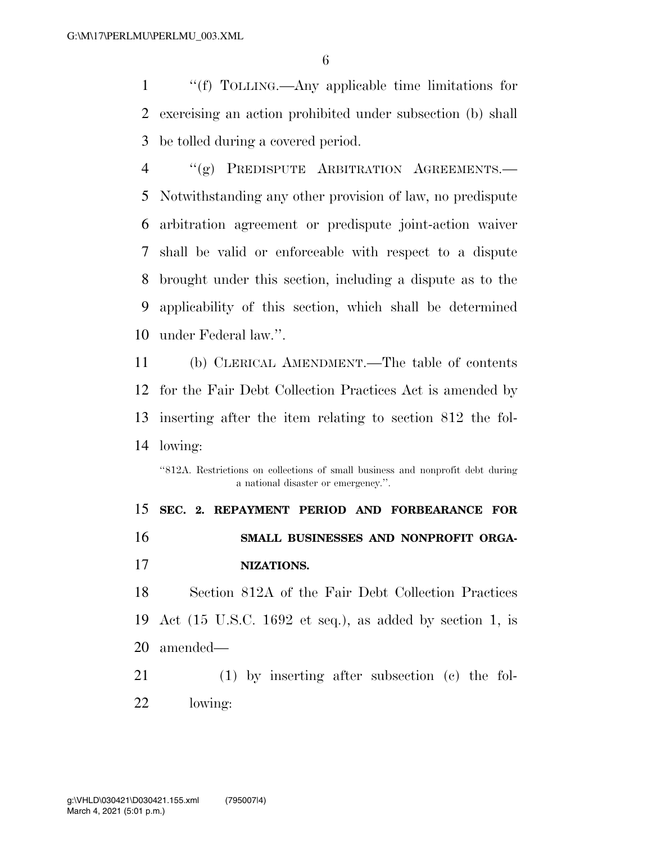''(f) TOLLING.—Any applicable time limitations for exercising an action prohibited under subsection (b) shall be tolled during a covered period.

 ''(g) PREDISPUTE ARBITRATION AGREEMENTS.— Notwithstanding any other provision of law, no predispute arbitration agreement or predispute joint-action waiver shall be valid or enforceable with respect to a dispute brought under this section, including a dispute as to the applicability of this section, which shall be determined under Federal law.''.

 (b) CLERICAL AMENDMENT.—The table of contents for the Fair Debt Collection Practices Act is amended by inserting after the item relating to section 812 the fol-lowing:

''812A. Restrictions on collections of small business and nonprofit debt during a national disaster or emergency.''.

 **SEC. 2. REPAYMENT PERIOD AND FORBEARANCE FOR SMALL BUSINESSES AND NONPROFIT ORGA-NIZATIONS.** 

 Section 812A of the Fair Debt Collection Practices Act (15 U.S.C. 1692 et seq.), as added by section 1, is amended—

 (1) by inserting after subsection (c) the fol-lowing: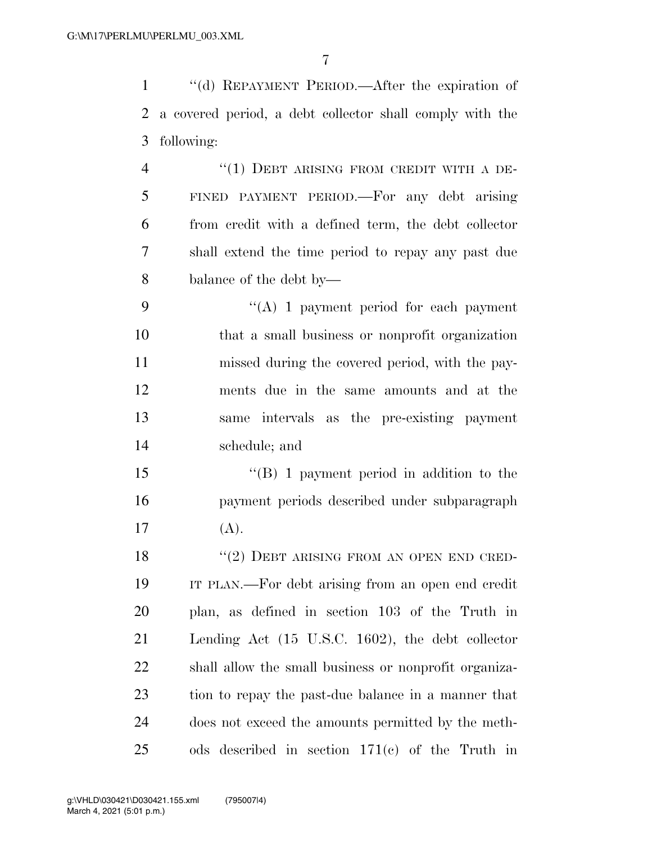| $\mathbf{1}$   | "(d) REPAYMENT PERIOD.—After the expiration of           |
|----------------|----------------------------------------------------------|
| 2              | a covered period, a debt collector shall comply with the |
| 3              | following:                                               |
| $\overline{4}$ | "(1) DEBT ARISING FROM CREDIT WITH A DE-                 |
| 5              | FINED PAYMENT PERIOD.—For any debt arising               |
| 6              | from credit with a defined term, the debt collector      |
| 7              | shall extend the time period to repay any past due       |
| 8              | balance of the debt by—                                  |
| 9              | $\lq\lq$ (A) 1 payment period for each payment           |
| 10             | that a small business or nonprofit organization          |
| 11             | missed during the covered period, with the pay-          |
| 12             | ments due in the same amounts and at the                 |
| 13             | same intervals as the pre-existing payment               |
| 14             | schedule; and                                            |
| 15             | $\lq\lq (B)$ 1 payment period in addition to the         |
| 16             | payment periods described under subparagraph             |
| 17             | (A).                                                     |
| 18             | "(2) DEBT ARISING FROM AN OPEN END CRED-                 |
| 19             | IT PLAN.—For debt arising from an open end credit        |
| 20             | plan, as defined in section 103 of the Truth in          |
| 21             | Lending Act (15 U.S.C. 1602), the debt collector         |
| 22             | shall allow the small business or nonprofit organiza-    |
| 23             | tion to repay the past-due balance in a manner that      |
| 24             | does not exceed the amounts permitted by the meth-       |
| 25             | ods described in section $171(c)$ of the Truth in        |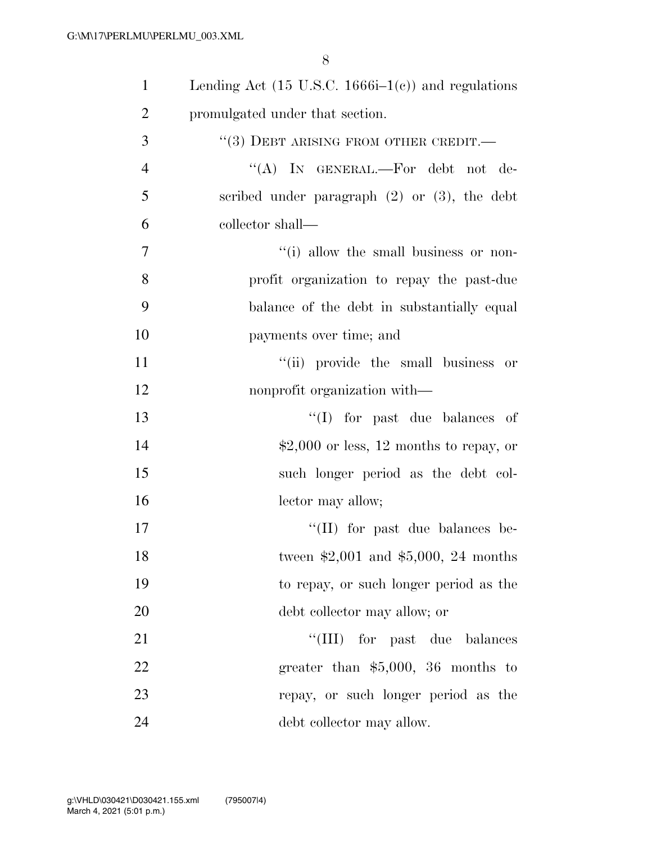| $\mathbf{1}$   | Lending Act $(15 \text{ U.S.C. } 1666\text{i}-1(c))$ and regulations |
|----------------|----------------------------------------------------------------------|
| $\overline{2}$ | promulgated under that section.                                      |
| 3              | $``(3)$ DEBT ARISING FROM OTHER CREDIT.—                             |
| $\overline{4}$ | "(A) IN GENERAL.—For debt not de-                                    |
| 5              | scribed under paragraph $(2)$ or $(3)$ , the debt                    |
| 6              | collector shall—                                                     |
| $\overline{7}$ | "(i) allow the small business or non-                                |
| 8              | profit organization to repay the past-due                            |
| 9              | balance of the debt in substantially equal                           |
| 10             | payments over time; and                                              |
| 11             | "(ii) provide the small business or                                  |
| 12             | nonprofit organization with—                                         |
| 13             | $\lq\lq$ (I) for past due balances of                                |
| 14             | $$2,000$ or less, 12 months to repay, or                             |
| 15             | such longer period as the debt col-                                  |
| 16             | lector may allow;                                                    |
| 17             | $\lq\lq$ (II) for past due balances be-                              |
| 18             | tween $$2,001$ and $$5,000, 24$ months                               |
| 19             | to repay, or such longer period as the                               |
| 20             | debt collector may allow; or                                         |
| 21             | "(III) for past due balances                                         |
| 22             | greater than $$5,000$ , 36 months to                                 |
| 23             | repay, or such longer period as the                                  |
| 24             | debt collector may allow.                                            |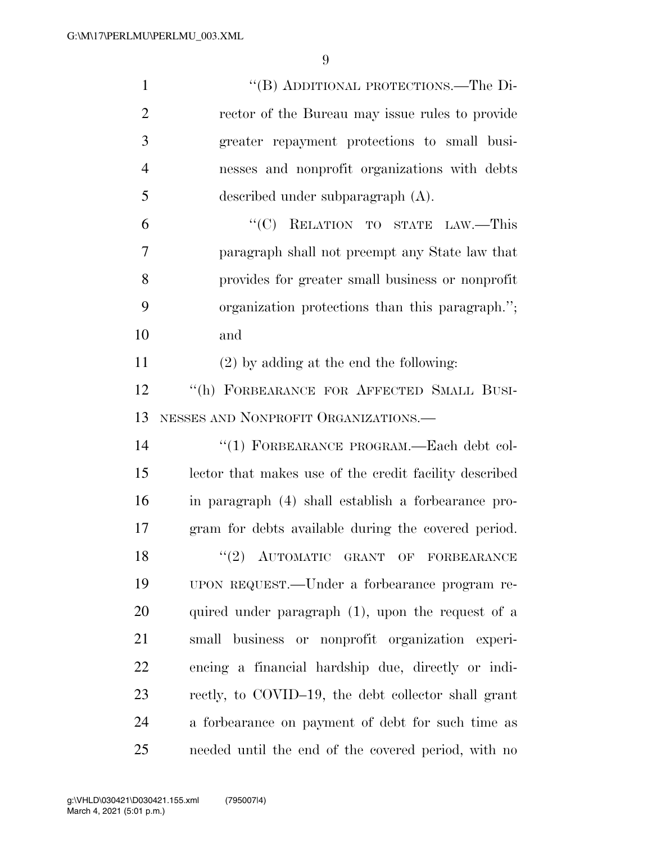| $\mathbf{1}$   | "(B) ADDITIONAL PROTECTIONS.—The Di-                   |
|----------------|--------------------------------------------------------|
| $\overline{2}$ | rector of the Bureau may issue rules to provide        |
| 3              | greater repayment protections to small busi-           |
| $\overline{4}$ | nesses and nonprofit organizations with debts          |
| 5              | described under subparagraph $(A)$ .                   |
| 6              | "(C) RELATION TO STATE LAW.—This                       |
| 7              | paragraph shall not preempt any State law that         |
| 8              | provides for greater small business or nonprofit       |
| 9              | organization protections than this paragraph.";        |
| 10             | and                                                    |
| 11             | $(2)$ by adding at the end the following:              |
| 12             | "(h) FORBEARANCE FOR AFFECTED SMALL BUSI-              |
| 13             | NESSES AND NONPROFIT ORGANIZATIONS.                    |
| 14             | "(1) FORBEARANCE PROGRAM.—Each debt col-               |
| 15             | lector that makes use of the credit facility described |
| 16             | in paragraph (4) shall establish a forbearance pro-    |
| 17             | gram for debts available during the covered period.    |
| 18             | $(2)$ AUTOMATIC GRANT OF FORBEARANCE                   |
| 19             | UPON REQUEST.—Under a forbearance program re-          |
| 20             | quired under paragraph (1), upon the request of a      |
| 21             | small business or nonprofit organization experi-       |
| 22             | encing a financial hardship due, directly or indi-     |
| 23             | rectly, to COVID-19, the debt collector shall grant    |
| 24             | a forbearance on payment of debt for such time as      |
| 25             | needed until the end of the covered period, with no    |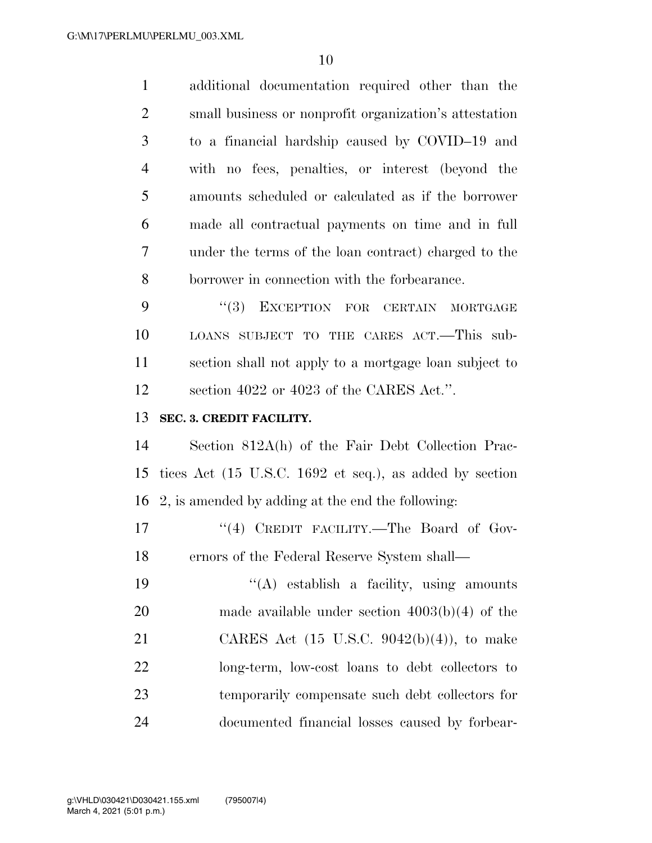| $\mathbf{1}$   | additional documentation required other than the        |
|----------------|---------------------------------------------------------|
| $\overline{2}$ | small business or nonprofit organization's attestation  |
| 3              | to a financial hardship caused by COVID-19 and          |
| $\overline{4}$ | with no fees, penalties, or interest (beyond the        |
| 5              | amounts scheduled or calculated as if the borrower      |
| 6              | made all contractual payments on time and in full       |
| 7              | under the terms of the loan contract) charged to the    |
| 8              | borrower in connection with the forbearance.            |
| 9              | EXCEPTION FOR CERTAIN<br>(3)<br>MORTGAGE                |
| 10             | LOANS SUBJECT TO THE CARES ACT.-This sub-               |
| 11             | section shall not apply to a mortgage loan subject to   |
| 12             | section 4022 or 4023 of the CARES Act.".                |
|                |                                                         |
| 13             | SEC. 3. CREDIT FACILITY.                                |
| 14             | Section 812A(h) of the Fair Debt Collection Prac-       |
| 15             | tices Act (15 U.S.C. 1692 et seq.), as added by section |
| 16             | 2, is amended by adding at the end the following:       |
| 17             | "(4) CREDIT FACILITY.—The Board of Gov-                 |
| 18             | ernors of the Federal Reserve System shall-             |
| 19             | "(A) establish a facility, using amounts                |
| 20             | made available under section $4003(b)(4)$ of the        |
| 21             | CARES Act $(15 \text{ U.S.C. } 9042(b)(4))$ , to make   |
| 22             | long-term, low-cost loans to debt collectors to         |
| 23             | temporarily compensate such debt collectors for         |